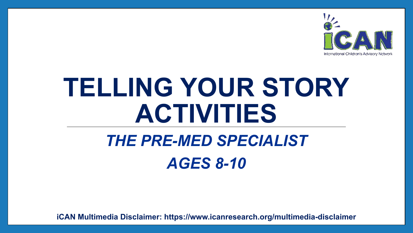

# **TELLING YOUR STORY ACTIVITIES**

## *THE PRE-MED SPECIALIST AGES 8-10*

**iCAN Multimedia Disclaimer: https://www.icanresearch.org/multimedia-disclaimer**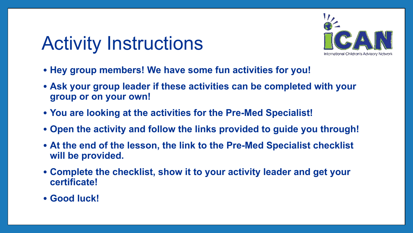## Activity Instructions



- **• Hey group members! We have some fun activities for you!**
- **• Ask your group leader if these activities can be completed with your group or on your own!**
- **• You are looking at the activities for the Pre-Med Specialist!**
- **• Open the activity and follow the links provided to guide you through!**
- **• At the end of the lesson, the link to the Pre-Med Specialist checklist will be provided.**
- **• Complete the checklist, show it to your activity leader and get your certificate!**
- **• Good luck!**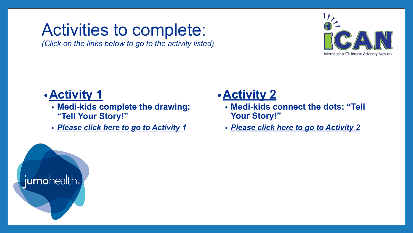### <span id="page-2-0"></span>Activities to complete:

*(Click on the links below to go to the activity listed)*



#### **•Activity 1**

- **• Medi-kids complete the drawing: "Tell Your Story!"**
- *• [Please click here to go to Activity](#page-3-0) 1*

#### **•Activity 2**

- **• Medi-kids connect the dots: "Tell Your Story!"**
- *• [Please click here to go to Activity](#page-4-0) 2*

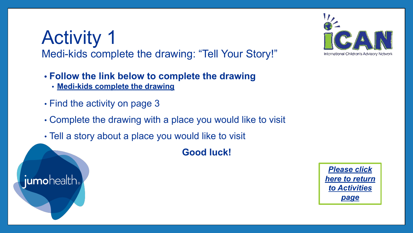### <span id="page-3-0"></span>Activity 1 Medi-kids complete the drawing: "Tell Your Story!"

- **• Follow the link below to complete the drawing**
	- **• [Medi-kids complete the drawing](https://www.icanresearch.org/_files/ugd/df726f_35617d8416a34d8185924ef1db4e34c3.pdf)**
- Find the activity on page 3
- Complete the drawing with a place you would like to visit
- Tell a story about a place you would like to visit

**Good luck!** 





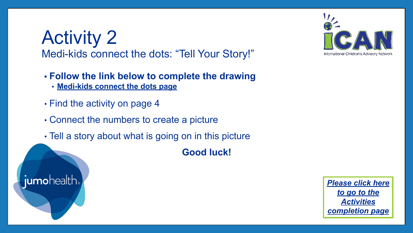### <span id="page-4-0"></span>Activity 2 Medi-kids connect the dots: "Tell Your Story!"

- **• Follow the link below to complete the drawing**
	- **• [Medi-kids connect the dots page](https://www.icanresearch.org/_files/ugd/df726f_35617d8416a34d8185924ef1db4e34c3.pdf)**
- Find the activity on page 4
- Connect the numbers to create a picture
- Tell a story about what is going on in this picture

**Good luck!** 





*[Please click here](#page-5-0) [to go to the](#page-5-0) [Activities](#page-5-0) [completion page](#page-5-0)*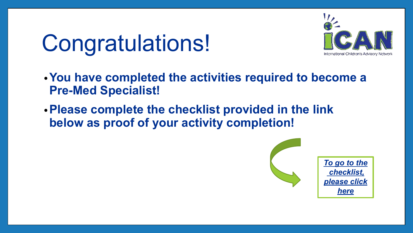# <span id="page-5-0"></span>Congratulations!



- **•You have completed the activities required to become a Pre-Med Specialist!**
- **•Please complete the checklist provided in the link below as proof of your activity completion!**